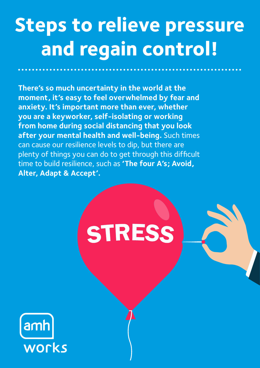# **Steps to relieve pressure and regain control!**

**There's so much uncertainty in the world at the moment, it's easy to feel overwhelmed by fear and anxiety. It's important more than ever, whether you are a keyworker, self-isolating or working from home during social distancing that you look after your mental health and well-being.** Such times can cause our resilience levels to dip, but there are plenty of things you can do to get through this difficult time to build resilience, such as **'The four A's; Avoid, Alter, Adapt & Accept'.**

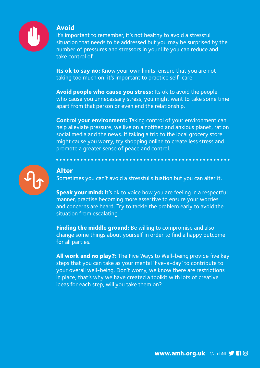

#### **Avoid**

It's important to remember, it's not healthy to avoid a stressful situation that needs to be addressed but you may be surprised by the number of pressures and stressors in your life you can reduce and take control of.

**Its ok to say no:** Know your own limits, ensure that you are not taking too much on, it's important to practice self-care.

**Avoid people who cause you stress:** Its ok to avoid the people who cause you unnecessary stress, you might want to take some time apart from that person or even end the relationship.

**Control your environment:** Taking control of your environment can help alleviate pressure, we live on a notified and anxious planet, ration social media and the news. If taking a trip to the local grocery store might cause you worry, try shopping online to create less stress and promote a greater sense of peace and control.



#### **Alter**

Sometimes you can't avoid a stressful situation but you can alter it.

**Speak your mind:** It's ok to voice how you are feeling in a respectful manner, practise becoming more assertive to ensure your worries and concerns are heard. Try to tackle the problem early to avoid the situation from escalating.

**Finding the middle ground:** Be willing to compromise and also change some things about yourself in order to find a happy outcome for all parties.

**All work and no play?:** The Five Ways to Well-being provide five key steps that you can take as your mental 'five-a-day' to contribute to your overall well-being. Don't worry, we know there are restrictions in place, that's why we have created a toolkit with lots of creative ideas for each step, will you take them on?